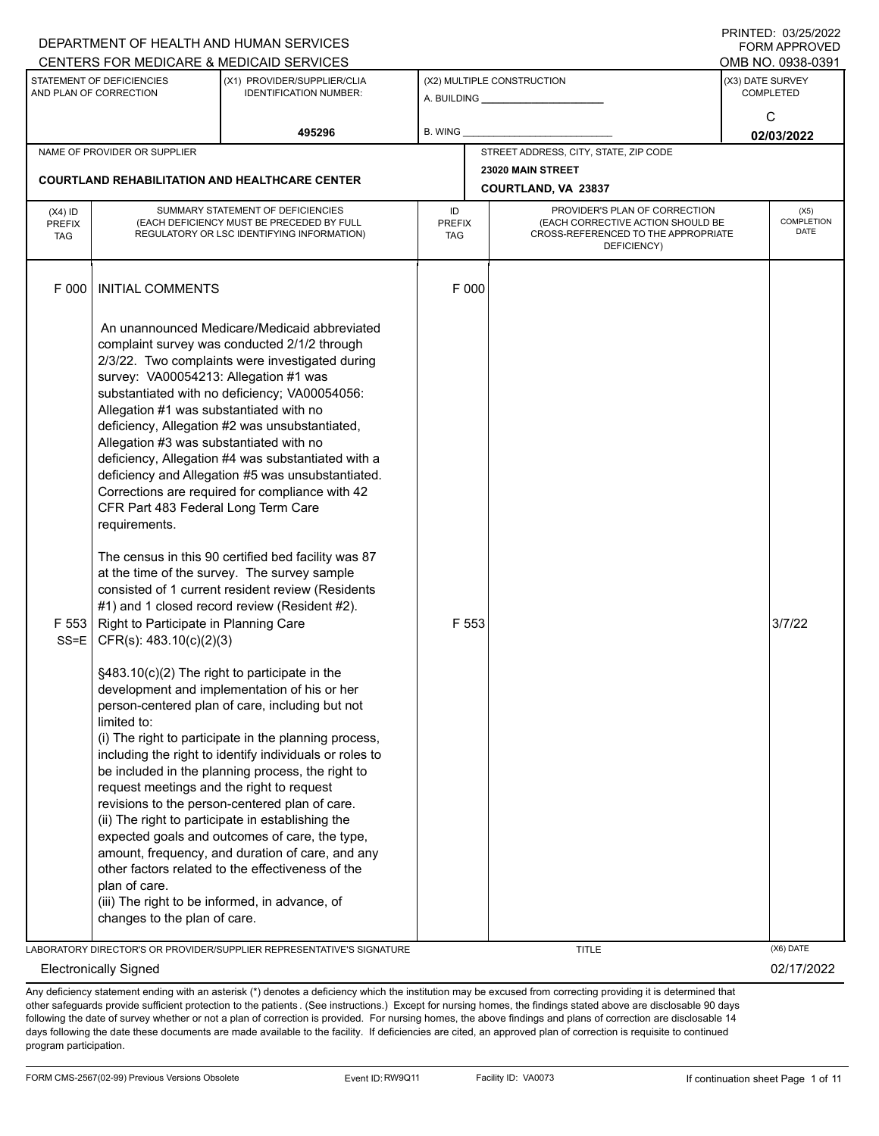|                                          |                                                                                                                                                                                     | DEPARTMENT OF HEALTH AND HUMAN SERVICES<br>CENTERS FOR MEDICARE & MEDICAID SERVICES                                                                                                                                                                                                                                                                                                                                                                                                                                                                                                                                                           |                                   |                                                                                                                          |                                           | <b>FORM APPROVED</b><br>OMB NO. 0938-0391 |  |  |
|------------------------------------------|-------------------------------------------------------------------------------------------------------------------------------------------------------------------------------------|-----------------------------------------------------------------------------------------------------------------------------------------------------------------------------------------------------------------------------------------------------------------------------------------------------------------------------------------------------------------------------------------------------------------------------------------------------------------------------------------------------------------------------------------------------------------------------------------------------------------------------------------------|-----------------------------------|--------------------------------------------------------------------------------------------------------------------------|-------------------------------------------|-------------------------------------------|--|--|
|                                          | STATEMENT OF DEFICIENCIES<br>AND PLAN OF CORRECTION                                                                                                                                 | (X1) PROVIDER/SUPPLIER/CLIA<br><b>IDENTIFICATION NUMBER:</b>                                                                                                                                                                                                                                                                                                                                                                                                                                                                                                                                                                                  | (X2) MULTIPLE CONSTRUCTION        |                                                                                                                          | (X3) DATE SURVEY<br><b>COMPLETED</b><br>C |                                           |  |  |
|                                          |                                                                                                                                                                                     | 495296                                                                                                                                                                                                                                                                                                                                                                                                                                                                                                                                                                                                                                        | B. WING                           |                                                                                                                          |                                           |                                           |  |  |
|                                          | NAME OF PROVIDER OR SUPPLIER                                                                                                                                                        | <b>COURTLAND REHABILITATION AND HEALTHCARE CENTER</b>                                                                                                                                                                                                                                                                                                                                                                                                                                                                                                                                                                                         |                                   | STREET ADDRESS, CITY, STATE, ZIP CODE<br>23020 MAIN STREET<br><b>COURTLAND, VA 23837</b>                                 |                                           | 02/03/2022                                |  |  |
| $(X4)$ ID<br><b>PREFIX</b><br><b>TAG</b> |                                                                                                                                                                                     | SUMMARY STATEMENT OF DEFICIENCIES<br>(EACH DEFICIENCY MUST BE PRECEDED BY FULL<br>REGULATORY OR LSC IDENTIFYING INFORMATION)                                                                                                                                                                                                                                                                                                                                                                                                                                                                                                                  | ID<br><b>PREFIX</b><br><b>TAG</b> | PROVIDER'S PLAN OF CORRECTION<br>(EACH CORRECTIVE ACTION SHOULD BE<br>CROSS-REFERENCED TO THE APPROPRIATE<br>DEFICIENCY) |                                           | (X5)<br><b>COMPLETION</b><br><b>DATE</b>  |  |  |
| F 000                                    | <b>INITIAL COMMENTS</b>                                                                                                                                                             | An unannounced Medicare/Medicaid abbreviated                                                                                                                                                                                                                                                                                                                                                                                                                                                                                                                                                                                                  | F 000                             |                                                                                                                          |                                           |                                           |  |  |
|                                          | survey: VA00054213: Allegation #1 was<br>Allegation #1 was substantiated with no<br>Allegation #3 was substantiated with no<br>CFR Part 483 Federal Long Term Care<br>requirements. | complaint survey was conducted 2/1/2 through<br>2/3/22. Two complaints were investigated during<br>substantiated with no deficiency; VA00054056:<br>deficiency, Allegation #2 was unsubstantiated,<br>deficiency, Allegation #4 was substantiated with a<br>deficiency and Allegation #5 was unsubstantiated.<br>Corrections are required for compliance with 42                                                                                                                                                                                                                                                                              |                                   |                                                                                                                          |                                           |                                           |  |  |
| F 553<br>$SS = E$                        | Right to Participate in Planning Care<br>CFR(s): 483.10(c)(2)(3)                                                                                                                    | The census in this 90 certified bed facility was 87<br>at the time of the survey. The survey sample<br>consisted of 1 current resident review (Residents<br>#1) and 1 closed record review (Resident #2).                                                                                                                                                                                                                                                                                                                                                                                                                                     | F 553                             |                                                                                                                          |                                           | 3/7/22                                    |  |  |
|                                          | limited to:<br>request meetings and the right to request<br>plan of care.<br>changes to the plan of care.                                                                           | §483.10(c)(2) The right to participate in the<br>development and implementation of his or her<br>person-centered plan of care, including but not<br>(i) The right to participate in the planning process,<br>including the right to identify individuals or roles to<br>be included in the planning process, the right to<br>revisions to the person-centered plan of care.<br>(ii) The right to participate in establishing the<br>expected goals and outcomes of care, the type,<br>amount, frequency, and duration of care, and any<br>other factors related to the effectiveness of the<br>(iii) The right to be informed, in advance, of |                                   |                                                                                                                          |                                           |                                           |  |  |
|                                          |                                                                                                                                                                                     | LABORATORY DIRECTOR'S OR PROVIDER/SUPPLIER REPRESENTATIVE'S SIGNATURE                                                                                                                                                                                                                                                                                                                                                                                                                                                                                                                                                                         |                                   | <b>TITLE</b>                                                                                                             |                                           | (X6) DATE                                 |  |  |
|                                          | <b>Electronically Signed</b>                                                                                                                                                        |                                                                                                                                                                                                                                                                                                                                                                                                                                                                                                                                                                                                                                               |                                   |                                                                                                                          |                                           | 02/17/2022                                |  |  |

Any deficiency statement ending with an asterisk (\*) denotes a deficiency which the institution may be excused from correcting providing it is determined that other safeguards provide sufficient protection to the patients . (See instructions.) Except for nursing homes, the findings stated above are disclosable 90 days following the date of survey whether or not a plan of correction is provided. For nursing homes, the above findings and plans of correction are disclosable 14 days following the date these documents are made available to the facility. If deficiencies are cited, an approved plan of correction is requisite to continued program participation.

DEPARTMENT OF HEALTH AND HUMAN SERVICES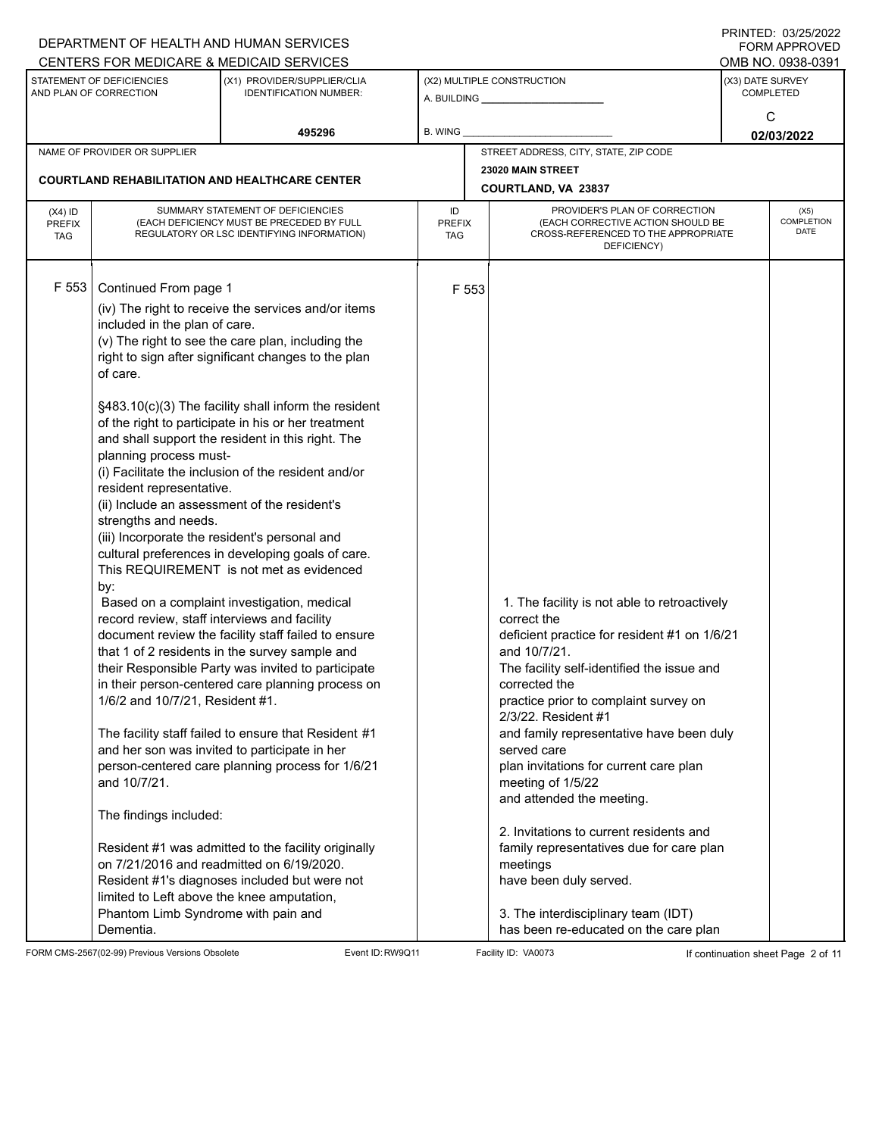|                                          |                                                                                                                                                                                                                                                                                                                                                                                                                                                                                         | DEPARTMENT OF HEALTH AND HUMAN SERVICES<br>CENTERS FOR MEDICARE & MEDICAID SERVICES                                                                                                                                                                                                                                                                                                                                                                                                                                                                                                                                                                                                                                                                                                                                                                                                                                                                                                                                                                                              |                                          |                                                                                                                                                                                                                                                                                                                                                                                                                                                                                                                                                                                                                                | <b>FININILU. VJZJIZVZZ</b><br><b>FORM APPROVED</b><br>OMB NO. 0938-0391 |  |  |
|------------------------------------------|-----------------------------------------------------------------------------------------------------------------------------------------------------------------------------------------------------------------------------------------------------------------------------------------------------------------------------------------------------------------------------------------------------------------------------------------------------------------------------------------|----------------------------------------------------------------------------------------------------------------------------------------------------------------------------------------------------------------------------------------------------------------------------------------------------------------------------------------------------------------------------------------------------------------------------------------------------------------------------------------------------------------------------------------------------------------------------------------------------------------------------------------------------------------------------------------------------------------------------------------------------------------------------------------------------------------------------------------------------------------------------------------------------------------------------------------------------------------------------------------------------------------------------------------------------------------------------------|------------------------------------------|--------------------------------------------------------------------------------------------------------------------------------------------------------------------------------------------------------------------------------------------------------------------------------------------------------------------------------------------------------------------------------------------------------------------------------------------------------------------------------------------------------------------------------------------------------------------------------------------------------------------------------|-------------------------------------------------------------------------|--|--|
|                                          | STATEMENT OF DEFICIENCIES<br>AND PLAN OF CORRECTION                                                                                                                                                                                                                                                                                                                                                                                                                                     | (X1) PROVIDER/SUPPLIER/CLIA<br><b>IDENTIFICATION NUMBER:</b>                                                                                                                                                                                                                                                                                                                                                                                                                                                                                                                                                                                                                                                                                                                                                                                                                                                                                                                                                                                                                     |                                          | (X2) MULTIPLE CONSTRUCTION                                                                                                                                                                                                                                                                                                                                                                                                                                                                                                                                                                                                     | (X3) DATE SURVEY<br><b>COMPLETED</b>                                    |  |  |
|                                          |                                                                                                                                                                                                                                                                                                                                                                                                                                                                                         | 495296                                                                                                                                                                                                                                                                                                                                                                                                                                                                                                                                                                                                                                                                                                                                                                                                                                                                                                                                                                                                                                                                           | <b>B. WING</b>                           |                                                                                                                                                                                                                                                                                                                                                                                                                                                                                                                                                                                                                                | C<br>02/03/2022                                                         |  |  |
|                                          | NAME OF PROVIDER OR SUPPLIER                                                                                                                                                                                                                                                                                                                                                                                                                                                            |                                                                                                                                                                                                                                                                                                                                                                                                                                                                                                                                                                                                                                                                                                                                                                                                                                                                                                                                                                                                                                                                                  |                                          | STREET ADDRESS, CITY, STATE, ZIP CODE                                                                                                                                                                                                                                                                                                                                                                                                                                                                                                                                                                                          |                                                                         |  |  |
|                                          |                                                                                                                                                                                                                                                                                                                                                                                                                                                                                         | <b>COURTLAND REHABILITATION AND HEALTHCARE CENTER</b>                                                                                                                                                                                                                                                                                                                                                                                                                                                                                                                                                                                                                                                                                                                                                                                                                                                                                                                                                                                                                            | 23020 MAIN STREET<br>COURTLAND, VA 23837 |                                                                                                                                                                                                                                                                                                                                                                                                                                                                                                                                                                                                                                |                                                                         |  |  |
| $(X4)$ ID<br><b>PREFIX</b><br><b>TAG</b> |                                                                                                                                                                                                                                                                                                                                                                                                                                                                                         | SUMMARY STATEMENT OF DEFICIENCIES<br>(EACH DEFICIENCY MUST BE PRECEDED BY FULL<br>REGULATORY OR LSC IDENTIFYING INFORMATION)                                                                                                                                                                                                                                                                                                                                                                                                                                                                                                                                                                                                                                                                                                                                                                                                                                                                                                                                                     | ID<br><b>PREFIX</b><br><b>TAG</b>        | PROVIDER'S PLAN OF CORRECTION<br>(EACH CORRECTIVE ACTION SHOULD BE<br>CROSS-REFERENCED TO THE APPROPRIATE<br>DEFICIENCY)                                                                                                                                                                                                                                                                                                                                                                                                                                                                                                       | (X5)<br><b>COMPLETION</b><br>DATE                                       |  |  |
| F 553                                    | Continued From page 1<br>included in the plan of care.<br>of care.<br>planning process must-<br>resident representative.<br>(ii) Include an assessment of the resident's<br>strengths and needs.<br>(iii) Incorporate the resident's personal and<br>by:<br>record review, staff interviews and facility<br>1/6/2 and 10/7/21, Resident #1.<br>and 10/7/21.<br>The findings included:<br>limited to Left above the knee amputation,<br>Phantom Limb Syndrome with pain and<br>Dementia. | (iv) The right to receive the services and/or items<br>(v) The right to see the care plan, including the<br>right to sign after significant changes to the plan<br>§483.10(c)(3) The facility shall inform the resident<br>of the right to participate in his or her treatment<br>and shall support the resident in this right. The<br>(i) Facilitate the inclusion of the resident and/or<br>cultural preferences in developing goals of care.<br>This REQUIREMENT is not met as evidenced<br>Based on a complaint investigation, medical<br>document review the facility staff failed to ensure<br>that 1 of 2 residents in the survey sample and<br>their Responsible Party was invited to participate<br>in their person-centered care planning process on<br>The facility staff failed to ensure that Resident #1<br>and her son was invited to participate in her<br>person-centered care planning process for 1/6/21<br>Resident #1 was admitted to the facility originally<br>on 7/21/2016 and readmitted on 6/19/2020.<br>Resident #1's diagnoses included but were not | F 553                                    | 1. The facility is not able to retroactively<br>correct the<br>deficient practice for resident #1 on 1/6/21<br>and 10/7/21.<br>The facility self-identified the issue and<br>corrected the<br>practice prior to complaint survey on<br>2/3/22. Resident #1<br>and family representative have been duly<br>served care<br>plan invitations for current care plan<br>meeting of 1/5/22<br>and attended the meeting.<br>2. Invitations to current residents and<br>family representatives due for care plan<br>meetings<br>have been duly served.<br>3. The interdisciplinary team (IDT)<br>has been re-educated on the care plan |                                                                         |  |  |

FORM CMS-2567(02-99) Previous Versions Obsolete Event ID:RW9Q11 Facility ID: VA0073 If continuation sheet Page 2 of 11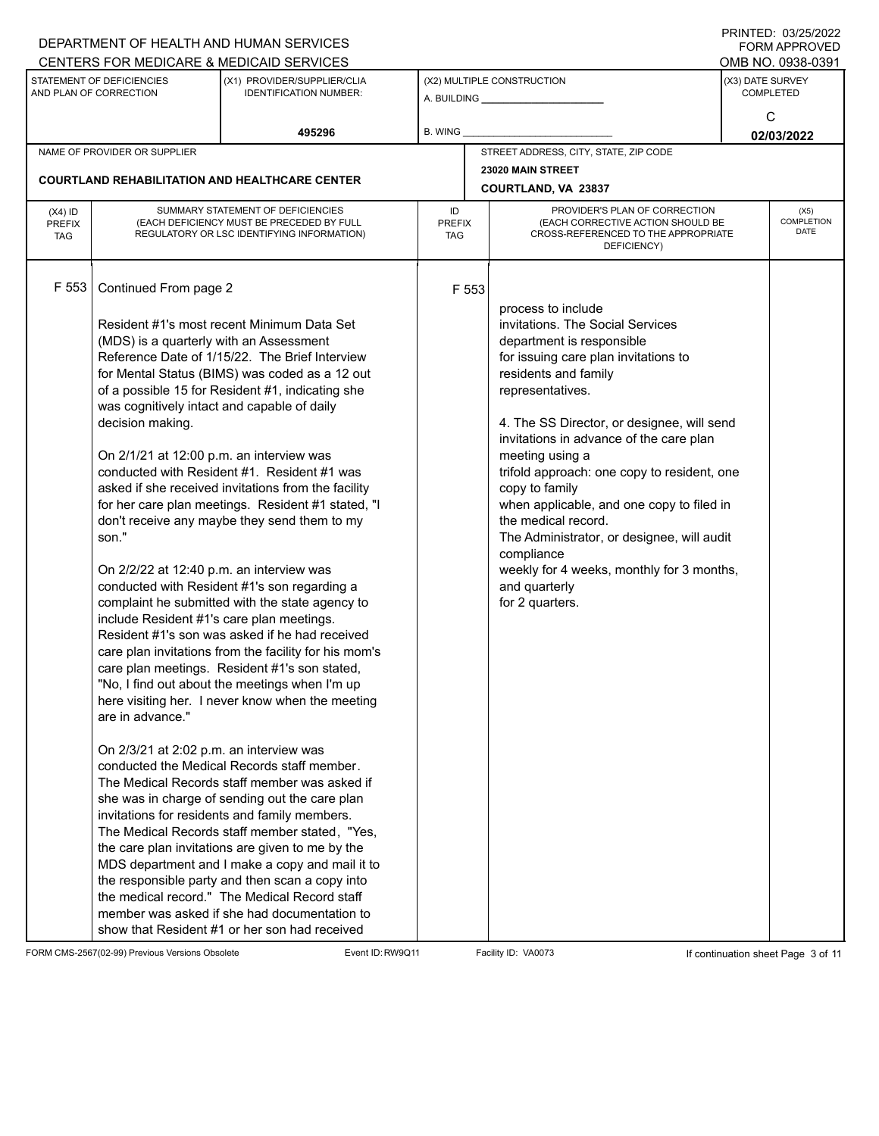|                                          |                                                                                                                                                                                                                                                                                                                                                  | DEPARTMENT OF HEALTH AND HUMAN SERVICES                                                                                                                                                                                                                                                                                                                                                                                                                                                                                                                                                                                                                                                                                                                                                                                                                                                                                                                                                                                                                                                                                                                                                                                                                                                                                                              |         |                                                              |                                                                                                                                                                                                                                                                                                                                                                                                                                                                                                                                                                       |                 | FORM APPROVED                        |
|------------------------------------------|--------------------------------------------------------------------------------------------------------------------------------------------------------------------------------------------------------------------------------------------------------------------------------------------------------------------------------------------------|------------------------------------------------------------------------------------------------------------------------------------------------------------------------------------------------------------------------------------------------------------------------------------------------------------------------------------------------------------------------------------------------------------------------------------------------------------------------------------------------------------------------------------------------------------------------------------------------------------------------------------------------------------------------------------------------------------------------------------------------------------------------------------------------------------------------------------------------------------------------------------------------------------------------------------------------------------------------------------------------------------------------------------------------------------------------------------------------------------------------------------------------------------------------------------------------------------------------------------------------------------------------------------------------------------------------------------------------------|---------|--------------------------------------------------------------|-----------------------------------------------------------------------------------------------------------------------------------------------------------------------------------------------------------------------------------------------------------------------------------------------------------------------------------------------------------------------------------------------------------------------------------------------------------------------------------------------------------------------------------------------------------------------|-----------------|--------------------------------------|
|                                          |                                                                                                                                                                                                                                                                                                                                                  | CENTERS FOR MEDICARE & MEDICAID SERVICES                                                                                                                                                                                                                                                                                                                                                                                                                                                                                                                                                                                                                                                                                                                                                                                                                                                                                                                                                                                                                                                                                                                                                                                                                                                                                                             |         |                                                              |                                                                                                                                                                                                                                                                                                                                                                                                                                                                                                                                                                       |                 | OMB NO. 0938-0391                    |
|                                          | STATEMENT OF DEFICIENCIES<br>AND PLAN OF CORRECTION                                                                                                                                                                                                                                                                                              | (X1) PROVIDER/SUPPLIER/CLIA<br><b>IDENTIFICATION NUMBER:</b>                                                                                                                                                                                                                                                                                                                                                                                                                                                                                                                                                                                                                                                                                                                                                                                                                                                                                                                                                                                                                                                                                                                                                                                                                                                                                         |         | (X2) MULTIPLE CONSTRUCTION<br>A. BUILDING <b>A.</b> BUILDING |                                                                                                                                                                                                                                                                                                                                                                                                                                                                                                                                                                       |                 | (X3) DATE SURVEY<br><b>COMPLETED</b> |
|                                          |                                                                                                                                                                                                                                                                                                                                                  | 495296                                                                                                                                                                                                                                                                                                                                                                                                                                                                                                                                                                                                                                                                                                                                                                                                                                                                                                                                                                                                                                                                                                                                                                                                                                                                                                                                               | B. WING |                                                              |                                                                                                                                                                                                                                                                                                                                                                                                                                                                                                                                                                       | C<br>02/03/2022 |                                      |
|                                          | NAME OF PROVIDER OR SUPPLIER                                                                                                                                                                                                                                                                                                                     |                                                                                                                                                                                                                                                                                                                                                                                                                                                                                                                                                                                                                                                                                                                                                                                                                                                                                                                                                                                                                                                                                                                                                                                                                                                                                                                                                      |         |                                                              | STREET ADDRESS, CITY, STATE, ZIP CODE                                                                                                                                                                                                                                                                                                                                                                                                                                                                                                                                 |                 |                                      |
|                                          |                                                                                                                                                                                                                                                                                                                                                  |                                                                                                                                                                                                                                                                                                                                                                                                                                                                                                                                                                                                                                                                                                                                                                                                                                                                                                                                                                                                                                                                                                                                                                                                                                                                                                                                                      |         |                                                              | 23020 MAIN STREET                                                                                                                                                                                                                                                                                                                                                                                                                                                                                                                                                     |                 |                                      |
|                                          |                                                                                                                                                                                                                                                                                                                                                  | <b>COURTLAND REHABILITATION AND HEALTHCARE CENTER</b>                                                                                                                                                                                                                                                                                                                                                                                                                                                                                                                                                                                                                                                                                                                                                                                                                                                                                                                                                                                                                                                                                                                                                                                                                                                                                                |         |                                                              | COURTLAND, VA 23837                                                                                                                                                                                                                                                                                                                                                                                                                                                                                                                                                   |                 |                                      |
| $(X4)$ ID<br><b>PREFIX</b><br><b>TAG</b> | SUMMARY STATEMENT OF DEFICIENCIES<br>(EACH DEFICIENCY MUST BE PRECEDED BY FULL<br>REGULATORY OR LSC IDENTIFYING INFORMATION)                                                                                                                                                                                                                     |                                                                                                                                                                                                                                                                                                                                                                                                                                                                                                                                                                                                                                                                                                                                                                                                                                                                                                                                                                                                                                                                                                                                                                                                                                                                                                                                                      |         | <b>PREFIX</b><br>TAG                                         | PROVIDER'S PLAN OF CORRECTION<br>(EACH CORRECTIVE ACTION SHOULD BE<br>CROSS-REFERENCED TO THE APPROPRIATE<br>DEFICIENCY)                                                                                                                                                                                                                                                                                                                                                                                                                                              |                 | (X5)<br>COMPLETION<br><b>DATE</b>    |
| F 553                                    | Continued From page 2<br>(MDS) is a quarterly with an Assessment<br>was cognitively intact and capable of daily<br>decision making.<br>On 2/1/21 at 12:00 p.m. an interview was<br>son."<br>On 2/2/22 at 12:40 p.m. an interview was<br>include Resident #1's care plan meetings.<br>are in advance."<br>On 2/3/21 at 2:02 p.m. an interview was | Resident #1's most recent Minimum Data Set<br>Reference Date of 1/15/22. The Brief Interview<br>for Mental Status (BIMS) was coded as a 12 out<br>of a possible 15 for Resident #1, indicating she<br>conducted with Resident #1. Resident #1 was<br>asked if she received invitations from the facility<br>for her care plan meetings. Resident #1 stated, "I<br>don't receive any maybe they send them to my<br>conducted with Resident #1's son regarding a<br>complaint he submitted with the state agency to<br>Resident #1's son was asked if he had received<br>care plan invitations from the facility for his mom's<br>care plan meetings. Resident #1's son stated,<br>"No, I find out about the meetings when I'm up<br>here visiting her. I never know when the meeting<br>conducted the Medical Records staff member.<br>The Medical Records staff member was asked if<br>she was in charge of sending out the care plan<br>invitations for residents and family members.<br>The Medical Records staff member stated, "Yes,<br>the care plan invitations are given to me by the<br>MDS department and I make a copy and mail it to<br>the responsible party and then scan a copy into<br>the medical record." The Medical Record staff<br>member was asked if she had documentation to<br>show that Resident #1 or her son had received |         | F 553                                                        | process to include<br>invitations. The Social Services<br>department is responsible<br>for issuing care plan invitations to<br>residents and family<br>representatives.<br>4. The SS Director, or designee, will send<br>invitations in advance of the care plan<br>meeting using a<br>trifold approach: one copy to resident, one<br>copy to family<br>when applicable, and one copy to filed in<br>the medical record.<br>The Administrator, or designee, will audit<br>compliance<br>weekly for 4 weeks, monthly for 3 months,<br>and quarterly<br>for 2 quarters. |                 |                                      |

FORM CMS-2567(02-99) Previous Versions Obsolete Event ID:RW9Q11 Facility ID: VA0073 If continuation sheet Page 3 of 11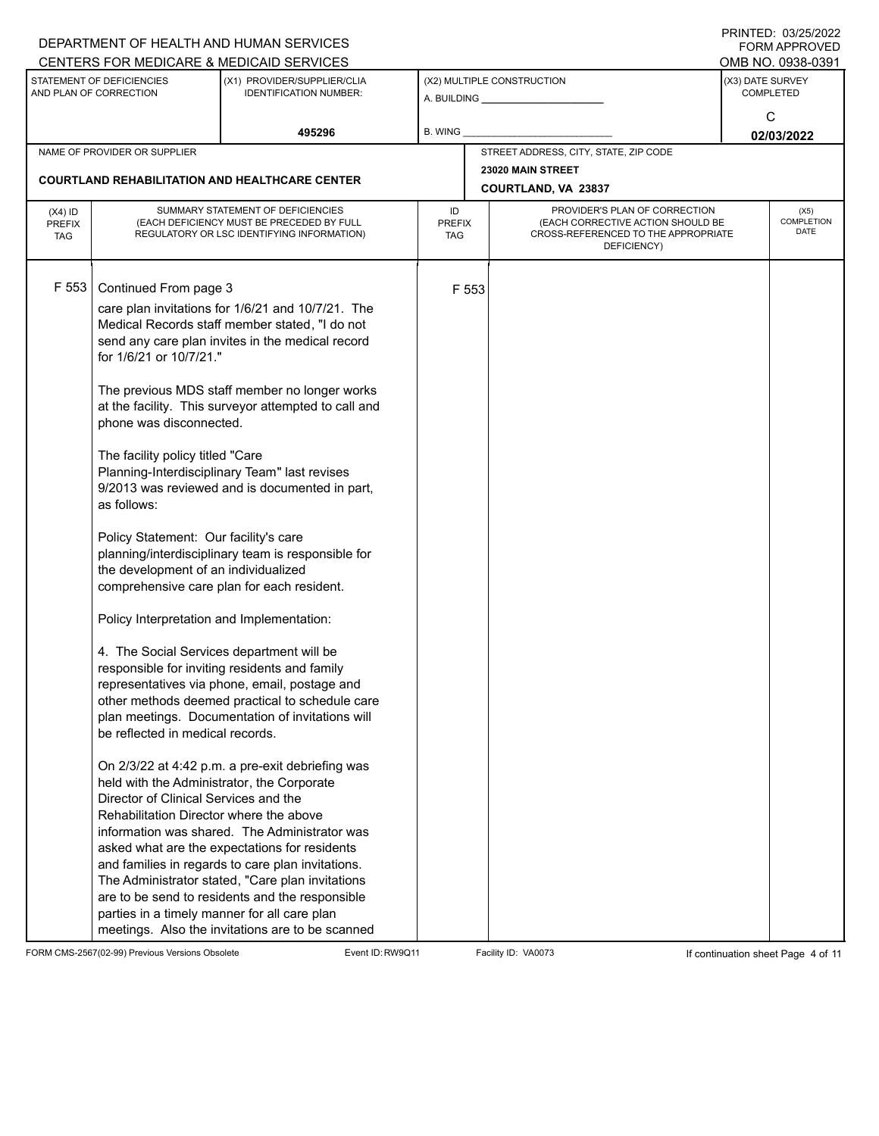|                                          |                                                                                                                                                                                                                                                                                                                                                                                                                                                                                                                                 | DEPARTMENT OF HEALTH AND HUMAN SERVICES<br>CENTERS FOR MEDICARE & MEDICAID SERVICES                                                                                                                                                                                                                                                                                                                                                                                                                                                                                                                                                                                                                                                                                                                                                                                                                                                                                                                                                                    |                            |       |                                                                                                                          |                                           | FININTLU. VJZJIZUZZ<br><b>FORM APPROVED</b><br>OMB NO. 0938-0391 |  |
|------------------------------------------|---------------------------------------------------------------------------------------------------------------------------------------------------------------------------------------------------------------------------------------------------------------------------------------------------------------------------------------------------------------------------------------------------------------------------------------------------------------------------------------------------------------------------------|--------------------------------------------------------------------------------------------------------------------------------------------------------------------------------------------------------------------------------------------------------------------------------------------------------------------------------------------------------------------------------------------------------------------------------------------------------------------------------------------------------------------------------------------------------------------------------------------------------------------------------------------------------------------------------------------------------------------------------------------------------------------------------------------------------------------------------------------------------------------------------------------------------------------------------------------------------------------------------------------------------------------------------------------------------|----------------------------|-------|--------------------------------------------------------------------------------------------------------------------------|-------------------------------------------|------------------------------------------------------------------|--|
|                                          | STATEMENT OF DEFICIENCIES<br>AND PLAN OF CORRECTION                                                                                                                                                                                                                                                                                                                                                                                                                                                                             | (X1) PROVIDER/SUPPLIER/CLIA<br><b>IDENTIFICATION NUMBER:</b>                                                                                                                                                                                                                                                                                                                                                                                                                                                                                                                                                                                                                                                                                                                                                                                                                                                                                                                                                                                           |                            |       | (X2) MULTIPLE CONSTRUCTION                                                                                               | (X3) DATE SURVEY<br><b>COMPLETED</b><br>C |                                                                  |  |
|                                          |                                                                                                                                                                                                                                                                                                                                                                                                                                                                                                                                 | 495296                                                                                                                                                                                                                                                                                                                                                                                                                                                                                                                                                                                                                                                                                                                                                                                                                                                                                                                                                                                                                                                 | <b>B. WING</b>             |       |                                                                                                                          | 02/03/2022                                |                                                                  |  |
|                                          | NAME OF PROVIDER OR SUPPLIER                                                                                                                                                                                                                                                                                                                                                                                                                                                                                                    |                                                                                                                                                                                                                                                                                                                                                                                                                                                                                                                                                                                                                                                                                                                                                                                                                                                                                                                                                                                                                                                        |                            |       | STREET ADDRESS, CITY, STATE, ZIP CODE                                                                                    |                                           |                                                                  |  |
|                                          |                                                                                                                                                                                                                                                                                                                                                                                                                                                                                                                                 | <b>COURTLAND REHABILITATION AND HEALTHCARE CENTER</b>                                                                                                                                                                                                                                                                                                                                                                                                                                                                                                                                                                                                                                                                                                                                                                                                                                                                                                                                                                                                  |                            |       | 23020 MAIN STREET                                                                                                        |                                           |                                                                  |  |
|                                          |                                                                                                                                                                                                                                                                                                                                                                                                                                                                                                                                 |                                                                                                                                                                                                                                                                                                                                                                                                                                                                                                                                                                                                                                                                                                                                                                                                                                                                                                                                                                                                                                                        |                            |       | COURTLAND, VA 23837                                                                                                      |                                           |                                                                  |  |
| $(X4)$ ID<br><b>PREFIX</b><br><b>TAG</b> | SUMMARY STATEMENT OF DEFICIENCIES<br>(EACH DEFICIENCY MUST BE PRECEDED BY FULL<br>REGULATORY OR LSC IDENTIFYING INFORMATION)                                                                                                                                                                                                                                                                                                                                                                                                    |                                                                                                                                                                                                                                                                                                                                                                                                                                                                                                                                                                                                                                                                                                                                                                                                                                                                                                                                                                                                                                                        | ID<br><b>PREFIX</b><br>TAG |       | PROVIDER'S PLAN OF CORRECTION<br>(EACH CORRECTIVE ACTION SHOULD BE<br>CROSS-REFERENCED TO THE APPROPRIATE<br>DEFICIENCY) |                                           | (X5)<br><b>COMPLETION</b><br>DATE                                |  |
| F 553                                    | Continued From page 3<br>for 1/6/21 or 10/7/21."<br>phone was disconnected.<br>The facility policy titled "Care<br>as follows:<br>Policy Statement: Our facility's care<br>the development of an individualized<br>Policy Interpretation and Implementation:<br>4. The Social Services department will be<br>be reflected in medical records.<br>held with the Administrator, the Corporate<br>Director of Clinical Services and the<br>Rehabilitation Director where the above<br>parties in a timely manner for all care plan | care plan invitations for 1/6/21 and 10/7/21. The<br>Medical Records staff member stated, "I do not<br>send any care plan invites in the medical record<br>The previous MDS staff member no longer works<br>at the facility. This surveyor attempted to call and<br>Planning-Interdisciplinary Team" last revises<br>9/2013 was reviewed and is documented in part,<br>planning/interdisciplinary team is responsible for<br>comprehensive care plan for each resident.<br>responsible for inviting residents and family<br>representatives via phone, email, postage and<br>other methods deemed practical to schedule care<br>plan meetings. Documentation of invitations will<br>On 2/3/22 at 4:42 p.m. a pre-exit debriefing was<br>information was shared. The Administrator was<br>asked what are the expectations for residents<br>and families in regards to care plan invitations.<br>The Administrator stated, "Care plan invitations<br>are to be send to residents and the responsible<br>meetings. Also the invitations are to be scanned |                            | F 553 |                                                                                                                          |                                           |                                                                  |  |

FORM CMS-2567(02-99) Previous Versions Obsolete Event ID:RW9Q11 Facility ID: VA0073 If continuation sheet Page 4 of 11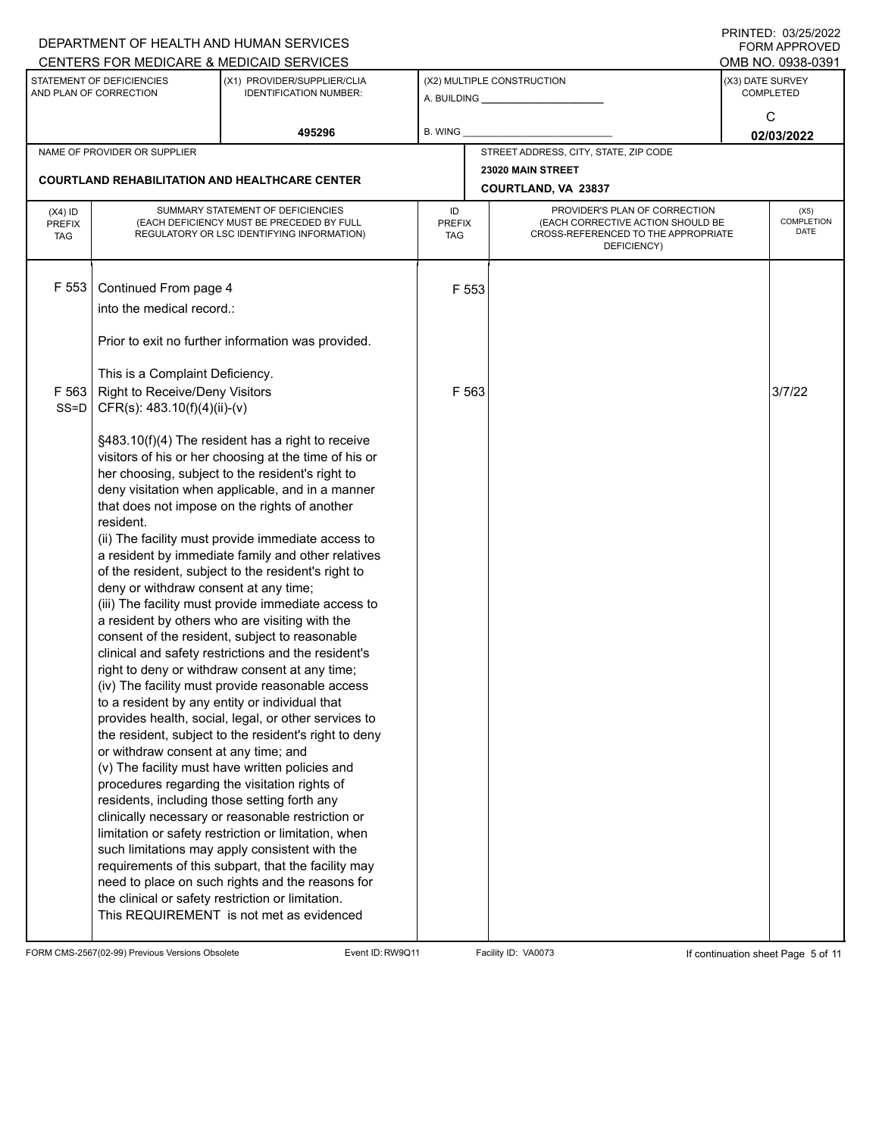|                                          |                                                                                                                                            | DEPARTMENT OF HEALTH AND HUMAN SERVICES                                                                                                                                                                                                                                                                                                                                                                                                                                                                                                                                                                                                                                                                                                                                                                                                                                                                                                                                                                                                                                                                                                                                                                                                                                                                                                                                                                          |           |                                                                                                                                    |                                          |                 | $1$ $1111$ $1112$ . $001$ $2012$<br>FORM APPROVED         |  |
|------------------------------------------|--------------------------------------------------------------------------------------------------------------------------------------------|------------------------------------------------------------------------------------------------------------------------------------------------------------------------------------------------------------------------------------------------------------------------------------------------------------------------------------------------------------------------------------------------------------------------------------------------------------------------------------------------------------------------------------------------------------------------------------------------------------------------------------------------------------------------------------------------------------------------------------------------------------------------------------------------------------------------------------------------------------------------------------------------------------------------------------------------------------------------------------------------------------------------------------------------------------------------------------------------------------------------------------------------------------------------------------------------------------------------------------------------------------------------------------------------------------------------------------------------------------------------------------------------------------------|-----------|------------------------------------------------------------------------------------------------------------------------------------|------------------------------------------|-----------------|-----------------------------------------------------------|--|
|                                          | STATEMENT OF DEFICIENCIES<br>AND PLAN OF CORRECTION                                                                                        | CENTERS FOR MEDICARE & MEDICAID SERVICES<br>(X1) PROVIDER/SUPPLIER/CLIA<br><b>IDENTIFICATION NUMBER:</b>                                                                                                                                                                                                                                                                                                                                                                                                                                                                                                                                                                                                                                                                                                                                                                                                                                                                                                                                                                                                                                                                                                                                                                                                                                                                                                         |           | (X2) MULTIPLE CONSTRUCTION                                                                                                         |                                          |                 | OMB NO. 0938-0391<br>(X3) DATE SURVEY<br><b>COMPLETED</b> |  |
|                                          |                                                                                                                                            | 495296                                                                                                                                                                                                                                                                                                                                                                                                                                                                                                                                                                                                                                                                                                                                                                                                                                                                                                                                                                                                                                                                                                                                                                                                                                                                                                                                                                                                           | B. WING   |                                                                                                                                    |                                          | C<br>02/03/2022 |                                                           |  |
|                                          | NAME OF PROVIDER OR SUPPLIER                                                                                                               |                                                                                                                                                                                                                                                                                                                                                                                                                                                                                                                                                                                                                                                                                                                                                                                                                                                                                                                                                                                                                                                                                                                                                                                                                                                                                                                                                                                                                  |           |                                                                                                                                    | STREET ADDRESS, CITY, STATE, ZIP CODE    |                 |                                                           |  |
|                                          |                                                                                                                                            | <b>COURTLAND REHABILITATION AND HEALTHCARE CENTER</b>                                                                                                                                                                                                                                                                                                                                                                                                                                                                                                                                                                                                                                                                                                                                                                                                                                                                                                                                                                                                                                                                                                                                                                                                                                                                                                                                                            |           |                                                                                                                                    | 23020 MAIN STREET<br>COURTLAND, VA 23837 |                 |                                                           |  |
| $(X4)$ ID<br><b>PREFIX</b><br><b>TAG</b> |                                                                                                                                            | SUMMARY STATEMENT OF DEFICIENCIES<br>(EACH DEFICIENCY MUST BE PRECEDED BY FULL<br>REGULATORY OR LSC IDENTIFYING INFORMATION)                                                                                                                                                                                                                                                                                                                                                                                                                                                                                                                                                                                                                                                                                                                                                                                                                                                                                                                                                                                                                                                                                                                                                                                                                                                                                     | ID<br>TAG | PROVIDER'S PLAN OF CORRECTION<br>(EACH CORRECTIVE ACTION SHOULD BE<br>PREFIX<br>CROSS-REFERENCED TO THE APPROPRIATE<br>DEFICIENCY) |                                          |                 | (X5)<br>COMPLETION<br>DATE                                |  |
| F 553                                    | Continued From page 4<br>into the medical record.:                                                                                         |                                                                                                                                                                                                                                                                                                                                                                                                                                                                                                                                                                                                                                                                                                                                                                                                                                                                                                                                                                                                                                                                                                                                                                                                                                                                                                                                                                                                                  |           | F 553                                                                                                                              |                                          |                 |                                                           |  |
|                                          |                                                                                                                                            | Prior to exit no further information was provided.                                                                                                                                                                                                                                                                                                                                                                                                                                                                                                                                                                                                                                                                                                                                                                                                                                                                                                                                                                                                                                                                                                                                                                                                                                                                                                                                                               |           |                                                                                                                                    |                                          |                 |                                                           |  |
| F 563<br>SS=D                            | This is a Complaint Deficiency.<br>Right to Receive/Deny Visitors<br>CFR(s): 483.10(f)(4)(ii)-(v)                                          |                                                                                                                                                                                                                                                                                                                                                                                                                                                                                                                                                                                                                                                                                                                                                                                                                                                                                                                                                                                                                                                                                                                                                                                                                                                                                                                                                                                                                  |           | F 563                                                                                                                              |                                          |                 | 3/7/22                                                    |  |
|                                          | resident.<br>deny or withdraw consent at any time;<br>or withdraw consent at any time; and<br>residents, including those setting forth any | §483.10(f)(4) The resident has a right to receive<br>visitors of his or her choosing at the time of his or<br>her choosing, subject to the resident's right to<br>deny visitation when applicable, and in a manner<br>that does not impose on the rights of another<br>(ii) The facility must provide immediate access to<br>a resident by immediate family and other relatives<br>of the resident, subject to the resident's right to<br>(iii) The facility must provide immediate access to<br>a resident by others who are visiting with the<br>consent of the resident, subject to reasonable<br>clinical and safety restrictions and the resident's<br>right to deny or withdraw consent at any time;<br>(iv) The facility must provide reasonable access<br>to a resident by any entity or individual that<br>provides health, social, legal, or other services to<br>the resident, subject to the resident's right to deny<br>(v) The facility must have written policies and<br>procedures regarding the visitation rights of<br>clinically necessary or reasonable restriction or<br>limitation or safety restriction or limitation, when<br>such limitations may apply consistent with the<br>requirements of this subpart, that the facility may<br>need to place on such rights and the reasons for<br>the clinical or safety restriction or limitation.<br>This REQUIREMENT is not met as evidenced |           |                                                                                                                                    |                                          |                 |                                                           |  |

FORM CMS-2567(02-99) Previous Versions Obsolete Event ID:RW9Q11 Facility ID: VA0073 If continuation sheet Page 5 of 11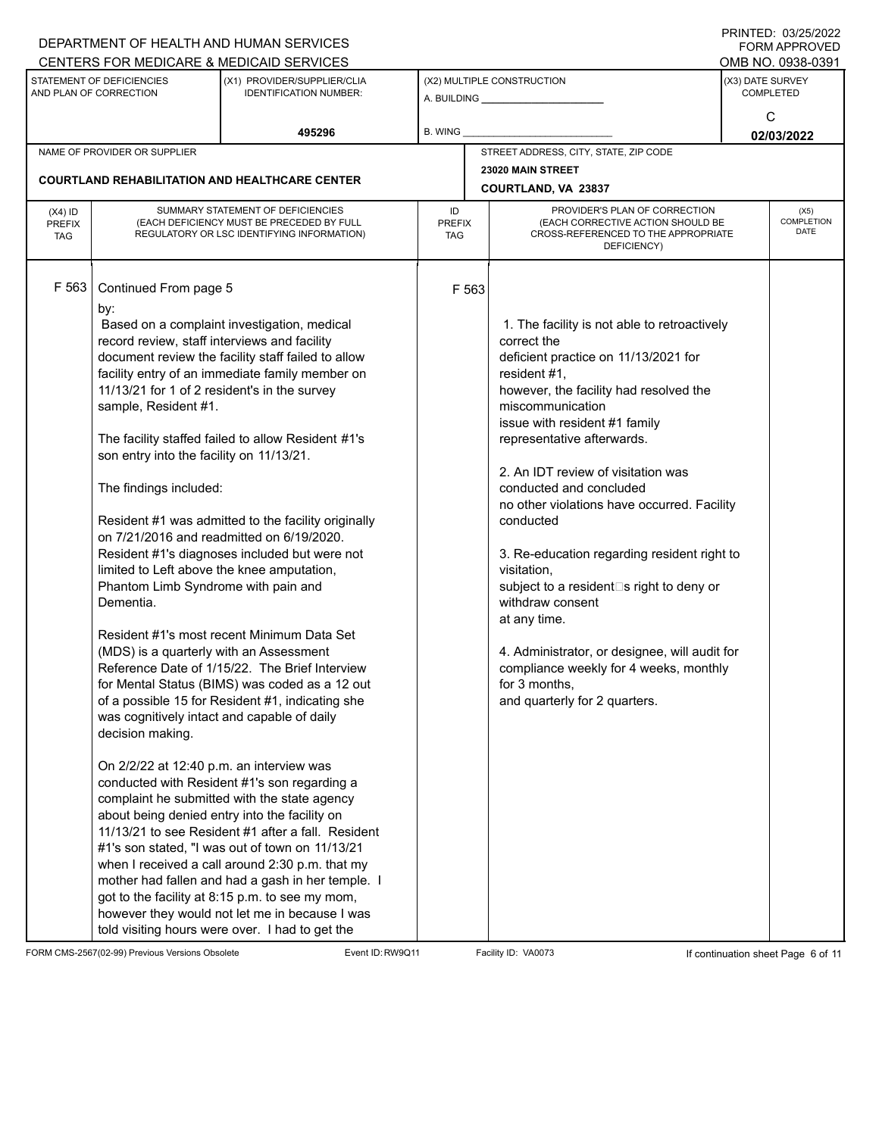|                                          |                                                                                                                                                                                                                                                                                                                                                                                                                                                                                        | DEPARTMENT OF HEALTH AND HUMAN SERVICES<br>CENTERS FOR MEDICARE & MEDICAID SERVICES                                                                                                                                                                                                                                                                                                                                                                                                                                                                                                                                                                                                                                                                                                                                                                                                                                                                                                                                                                                                             |                                   |                                                                                                                                                                                                                                                                                                                                                                                                                                                                                                                                                                                                                                                                          | FININILU. VJIZJIZUZZ<br>FORM APPROVED<br>OMB NO. 0938-0391 |
|------------------------------------------|----------------------------------------------------------------------------------------------------------------------------------------------------------------------------------------------------------------------------------------------------------------------------------------------------------------------------------------------------------------------------------------------------------------------------------------------------------------------------------------|-------------------------------------------------------------------------------------------------------------------------------------------------------------------------------------------------------------------------------------------------------------------------------------------------------------------------------------------------------------------------------------------------------------------------------------------------------------------------------------------------------------------------------------------------------------------------------------------------------------------------------------------------------------------------------------------------------------------------------------------------------------------------------------------------------------------------------------------------------------------------------------------------------------------------------------------------------------------------------------------------------------------------------------------------------------------------------------------------|-----------------------------------|--------------------------------------------------------------------------------------------------------------------------------------------------------------------------------------------------------------------------------------------------------------------------------------------------------------------------------------------------------------------------------------------------------------------------------------------------------------------------------------------------------------------------------------------------------------------------------------------------------------------------------------------------------------------------|------------------------------------------------------------|
|                                          | STATEMENT OF DEFICIENCIES<br>AND PLAN OF CORRECTION                                                                                                                                                                                                                                                                                                                                                                                                                                    | (X1) PROVIDER/SUPPLIER/CLIA<br><b>IDENTIFICATION NUMBER:</b>                                                                                                                                                                                                                                                                                                                                                                                                                                                                                                                                                                                                                                                                                                                                                                                                                                                                                                                                                                                                                                    |                                   | (X2) MULTIPLE CONSTRUCTION                                                                                                                                                                                                                                                                                                                                                                                                                                                                                                                                                                                                                                               | (X3) DATE SURVEY<br><b>COMPLETED</b>                       |
|                                          |                                                                                                                                                                                                                                                                                                                                                                                                                                                                                        | 495296                                                                                                                                                                                                                                                                                                                                                                                                                                                                                                                                                                                                                                                                                                                                                                                                                                                                                                                                                                                                                                                                                          | B. WING                           |                                                                                                                                                                                                                                                                                                                                                                                                                                                                                                                                                                                                                                                                          | C<br>02/03/2022                                            |
|                                          | NAME OF PROVIDER OR SUPPLIER                                                                                                                                                                                                                                                                                                                                                                                                                                                           |                                                                                                                                                                                                                                                                                                                                                                                                                                                                                                                                                                                                                                                                                                                                                                                                                                                                                                                                                                                                                                                                                                 |                                   | STREET ADDRESS, CITY, STATE, ZIP CODE                                                                                                                                                                                                                                                                                                                                                                                                                                                                                                                                                                                                                                    |                                                            |
|                                          |                                                                                                                                                                                                                                                                                                                                                                                                                                                                                        |                                                                                                                                                                                                                                                                                                                                                                                                                                                                                                                                                                                                                                                                                                                                                                                                                                                                                                                                                                                                                                                                                                 |                                   | 23020 MAIN STREET                                                                                                                                                                                                                                                                                                                                                                                                                                                                                                                                                                                                                                                        |                                                            |
|                                          | <b>COURTLAND REHABILITATION AND HEALTHCARE CENTER</b>                                                                                                                                                                                                                                                                                                                                                                                                                                  |                                                                                                                                                                                                                                                                                                                                                                                                                                                                                                                                                                                                                                                                                                                                                                                                                                                                                                                                                                                                                                                                                                 |                                   | COURTLAND, VA 23837                                                                                                                                                                                                                                                                                                                                                                                                                                                                                                                                                                                                                                                      |                                                            |
| $(X4)$ ID<br><b>PREFIX</b><br><b>TAG</b> |                                                                                                                                                                                                                                                                                                                                                                                                                                                                                        | SUMMARY STATEMENT OF DEFICIENCIES<br>(EACH DEFICIENCY MUST BE PRECEDED BY FULL<br>REGULATORY OR LSC IDENTIFYING INFORMATION)                                                                                                                                                                                                                                                                                                                                                                                                                                                                                                                                                                                                                                                                                                                                                                                                                                                                                                                                                                    | ID<br><b>PREFIX</b><br><b>TAG</b> | PROVIDER'S PLAN OF CORRECTION<br>(EACH CORRECTIVE ACTION SHOULD BE<br>CROSS-REFERENCED TO THE APPROPRIATE<br>DEFICIENCY)                                                                                                                                                                                                                                                                                                                                                                                                                                                                                                                                                 | (X5)<br>COMPLETION<br><b>DATE</b>                          |
| F 563                                    | Continued From page 5<br>by:<br>record review, staff interviews and facility<br>11/13/21 for 1 of 2 resident's in the survey<br>sample, Resident #1.<br>son entry into the facility on 11/13/21.<br>The findings included:<br>limited to Left above the knee amputation,<br>Phantom Limb Syndrome with pain and<br>Dementia.<br>(MDS) is a quarterly with an Assessment<br>was cognitively intact and capable of daily<br>decision making.<br>On 2/2/22 at 12:40 p.m. an interview was | Based on a complaint investigation, medical<br>document review the facility staff failed to allow<br>facility entry of an immediate family member on<br>The facility staffed failed to allow Resident #1's<br>Resident #1 was admitted to the facility originally<br>on 7/21/2016 and readmitted on 6/19/2020.<br>Resident #1's diagnoses included but were not<br>Resident #1's most recent Minimum Data Set<br>Reference Date of 1/15/22. The Brief Interview<br>for Mental Status (BIMS) was coded as a 12 out<br>of a possible 15 for Resident #1, indicating she<br>conducted with Resident #1's son regarding a<br>complaint he submitted with the state agency<br>about being denied entry into the facility on<br>11/13/21 to see Resident #1 after a fall. Resident<br>#1's son stated, "I was out of town on 11/13/21<br>when I received a call around 2:30 p.m. that my<br>mother had fallen and had a gash in her temple. I<br>got to the facility at 8:15 p.m. to see my mom,<br>however they would not let me in because I was<br>told visiting hours were over. I had to get the | F 563                             | 1. The facility is not able to retroactively<br>correct the<br>deficient practice on 11/13/2021 for<br>resident #1,<br>however, the facility had resolved the<br>miscommunication<br>issue with resident #1 family<br>representative afterwards.<br>2. An IDT review of visitation was<br>conducted and concluded<br>no other violations have occurred. Facility<br>conducted<br>3. Re-education regarding resident right to<br>visitation,<br>subject to a resident□s right to deny or<br>withdraw consent<br>at any time.<br>4. Administrator, or designee, will audit for<br>compliance weekly for 4 weeks, monthly<br>for 3 months,<br>and quarterly for 2 quarters. |                                                            |

FORM CMS-2567(02-99) Previous Versions Obsolete Event ID:RW9Q11 Facility ID: VA0073 If continuation sheet Page 6 of 11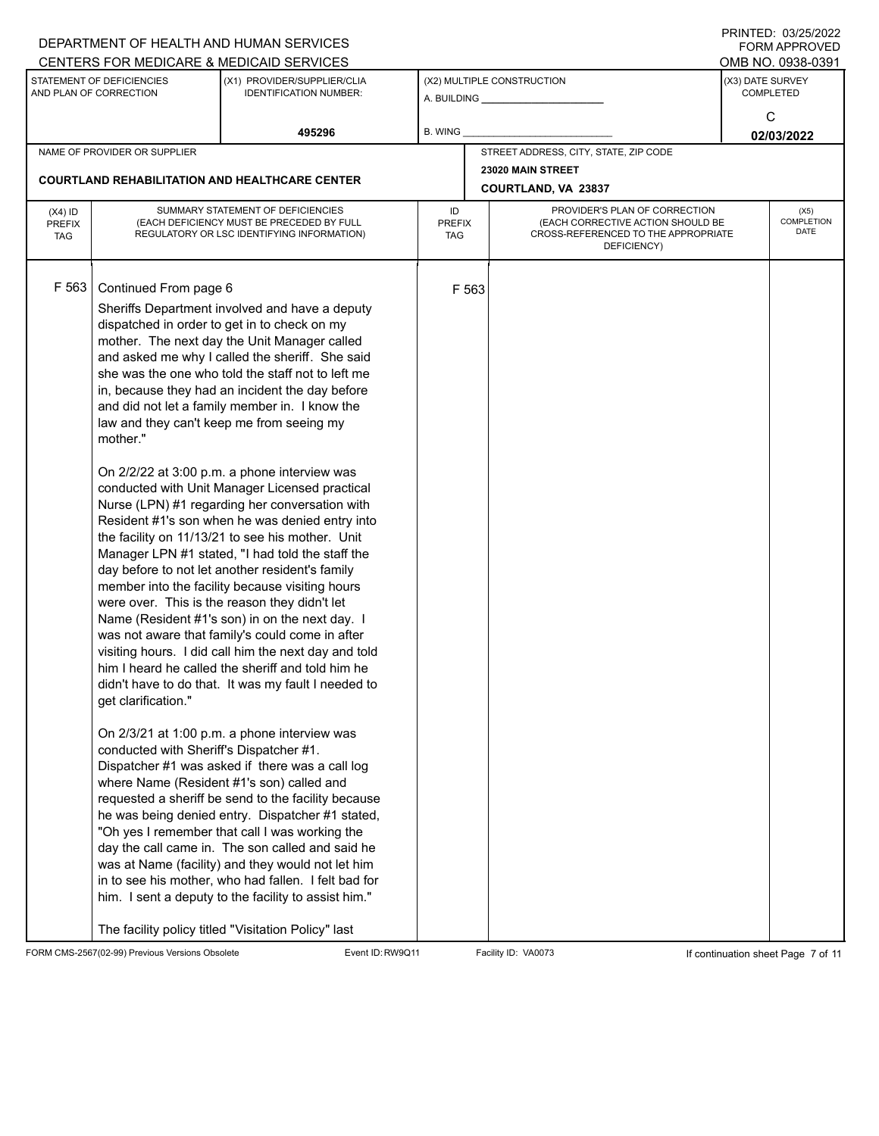|                             |                                                     | DEPARTMENT OF HEALTH AND HUMAN SERVICES                                                              |                      |                                                                          |                                       |                    | INITED. OSIZSIZUZZ<br><b>FORM APPROVED</b> |
|-----------------------------|-----------------------------------------------------|------------------------------------------------------------------------------------------------------|----------------------|--------------------------------------------------------------------------|---------------------------------------|--------------------|--------------------------------------------|
|                             |                                                     | CENTERS FOR MEDICARE & MEDICAID SERVICES                                                             |                      |                                                                          |                                       |                    | OMB NO. 0938-0391                          |
|                             | STATEMENT OF DEFICIENCIES<br>AND PLAN OF CORRECTION | (X1) PROVIDER/SUPPLIER/CLIA<br><b>IDENTIFICATION NUMBER:</b>                                         |                      |                                                                          | (X2) MULTIPLE CONSTRUCTION            | (X3) DATE SURVEY   | <b>COMPLETED</b>                           |
|                             |                                                     |                                                                                                      |                      |                                                                          |                                       |                    | С                                          |
|                             |                                                     | 495296                                                                                               | B. WING              |                                                                          |                                       |                    | 02/03/2022                                 |
|                             | NAME OF PROVIDER OR SUPPLIER                        |                                                                                                      |                      |                                                                          | STREET ADDRESS, CITY, STATE, ZIP CODE |                    |                                            |
|                             |                                                     | <b>COURTLAND REHABILITATION AND HEALTHCARE CENTER</b>                                                |                      |                                                                          | 23020 MAIN STREET                     |                    |                                            |
|                             |                                                     |                                                                                                      |                      |                                                                          | COURTLAND, VA 23837                   |                    |                                            |
| $(X4)$ ID                   |                                                     | SUMMARY STATEMENT OF DEFICIENCIES                                                                    | ID                   |                                                                          | PROVIDER'S PLAN OF CORRECTION         |                    | (X5)                                       |
| <b>PREFIX</b><br><b>TAG</b> |                                                     | (EACH DEFICIENCY MUST BE PRECEDED BY FULL<br>REGULATORY OR LSC IDENTIFYING INFORMATION)              | <b>PREFIX</b><br>TAG | (EACH CORRECTIVE ACTION SHOULD BE<br>CROSS-REFERENCED TO THE APPROPRIATE |                                       | COMPLETION<br>DATE |                                            |
|                             |                                                     |                                                                                                      |                      |                                                                          | DEFICIENCY)                           |                    |                                            |
|                             |                                                     |                                                                                                      |                      |                                                                          |                                       |                    |                                            |
| F 563                       | Continued From page 6                               |                                                                                                      |                      | F 563                                                                    |                                       |                    |                                            |
|                             |                                                     | Sheriffs Department involved and have a deputy                                                       |                      |                                                                          |                                       |                    |                                            |
|                             |                                                     | dispatched in order to get in to check on my                                                         |                      |                                                                          |                                       |                    |                                            |
|                             |                                                     | mother. The next day the Unit Manager called                                                         |                      |                                                                          |                                       |                    |                                            |
|                             |                                                     | and asked me why I called the sheriff. She said<br>she was the one who told the staff not to left me |                      |                                                                          |                                       |                    |                                            |
|                             |                                                     | in, because they had an incident the day before                                                      |                      |                                                                          |                                       |                    |                                            |
|                             |                                                     | and did not let a family member in. I know the                                                       |                      |                                                                          |                                       |                    |                                            |
|                             |                                                     | law and they can't keep me from seeing my                                                            |                      |                                                                          |                                       |                    |                                            |
|                             | mother."                                            |                                                                                                      |                      |                                                                          |                                       |                    |                                            |
|                             |                                                     |                                                                                                      |                      |                                                                          |                                       |                    |                                            |
|                             |                                                     | On 2/2/22 at 3:00 p.m. a phone interview was<br>conducted with Unit Manager Licensed practical       |                      |                                                                          |                                       |                    |                                            |
|                             |                                                     | Nurse (LPN) #1 regarding her conversation with                                                       |                      |                                                                          |                                       |                    |                                            |
|                             |                                                     | Resident #1's son when he was denied entry into                                                      |                      |                                                                          |                                       |                    |                                            |
|                             |                                                     | the facility on 11/13/21 to see his mother. Unit                                                     |                      |                                                                          |                                       |                    |                                            |
|                             |                                                     | Manager LPN #1 stated, "I had told the staff the                                                     |                      |                                                                          |                                       |                    |                                            |
|                             |                                                     | day before to not let another resident's family                                                      |                      |                                                                          |                                       |                    |                                            |
|                             |                                                     | member into the facility because visiting hours<br>were over. This is the reason they didn't let     |                      |                                                                          |                                       |                    |                                            |
|                             |                                                     | Name (Resident #1's son) in on the next day. I                                                       |                      |                                                                          |                                       |                    |                                            |
|                             |                                                     | was not aware that family's could come in after                                                      |                      |                                                                          |                                       |                    |                                            |
|                             |                                                     | visiting hours. I did call him the next day and told                                                 |                      |                                                                          |                                       |                    |                                            |
|                             |                                                     | him I heard he called the sheriff and told him he                                                    |                      |                                                                          |                                       |                    |                                            |
|                             |                                                     | didn't have to do that. It was my fault I needed to                                                  |                      |                                                                          |                                       |                    |                                            |
|                             | get clarification."                                 |                                                                                                      |                      |                                                                          |                                       |                    |                                            |
|                             |                                                     | On 2/3/21 at 1:00 p.m. a phone interview was                                                         |                      |                                                                          |                                       |                    |                                            |
|                             | conducted with Sheriff's Dispatcher #1.             |                                                                                                      |                      |                                                                          |                                       |                    |                                            |
|                             |                                                     | Dispatcher #1 was asked if there was a call log                                                      |                      |                                                                          |                                       |                    |                                            |
|                             |                                                     | where Name (Resident #1's son) called and                                                            |                      |                                                                          |                                       |                    |                                            |
|                             |                                                     | requested a sheriff be send to the facility because                                                  |                      |                                                                          |                                       |                    |                                            |
|                             |                                                     | he was being denied entry. Dispatcher #1 stated,<br>"Oh yes I remember that call I was working the   |                      |                                                                          |                                       |                    |                                            |
|                             |                                                     | day the call came in. The son called and said he                                                     |                      |                                                                          |                                       |                    |                                            |
|                             |                                                     | was at Name (facility) and they would not let him                                                    |                      |                                                                          |                                       |                    |                                            |
|                             |                                                     | in to see his mother, who had fallen. I felt bad for                                                 |                      |                                                                          |                                       |                    |                                            |
|                             |                                                     | him. I sent a deputy to the facility to assist him."                                                 |                      |                                                                          |                                       |                    |                                            |
|                             |                                                     | The facility policy titled "Visitation Policy" last                                                  |                      |                                                                          |                                       |                    |                                            |

FORM CMS-2567(02-99) Previous Versions Obsolete Event ID:RW9Q11 Facility ID: VA0073 If continuation sheet Page 7 of 11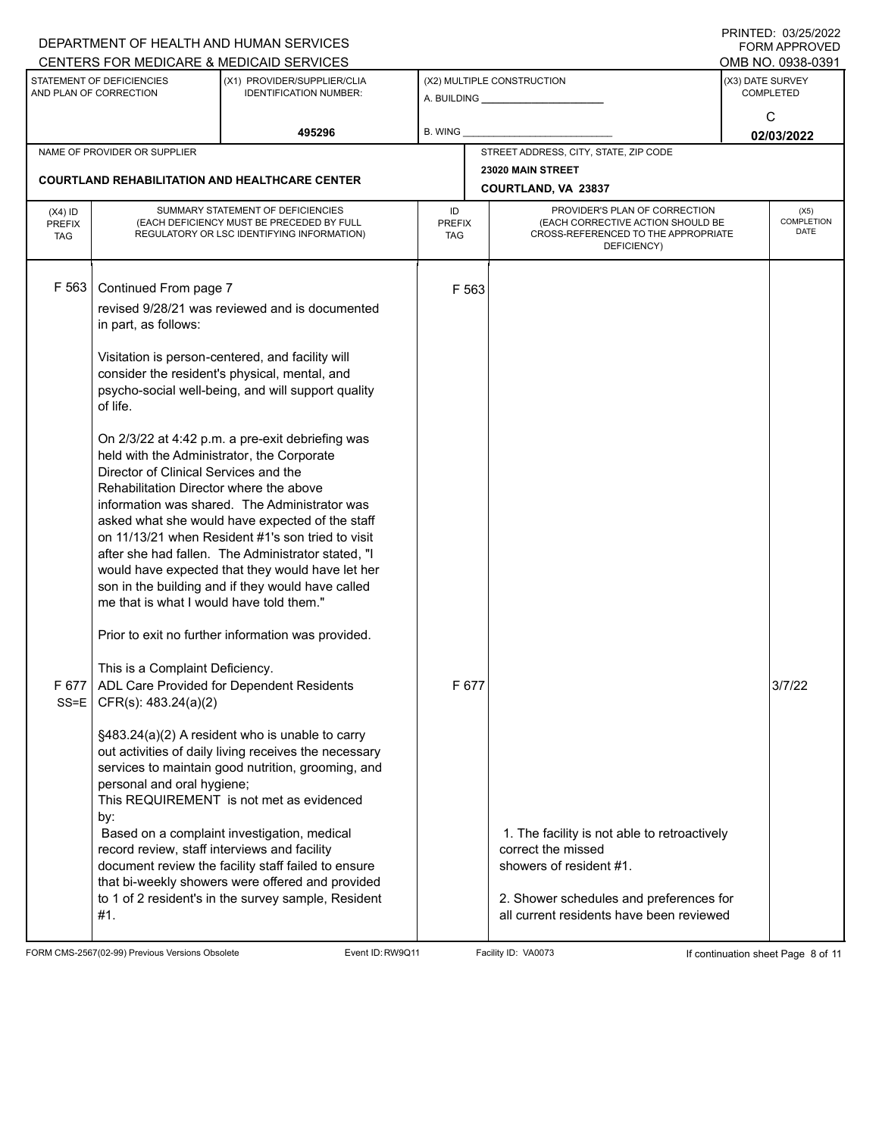|                                                       |                                                                                                                                                                                                                                                                                                                                                  | DEPARTMENT OF HEALTH AND HUMAN SERVICES<br>CENTERS FOR MEDICARE & MEDICAID SERVICES                                                                                                                                                                                                                                                                                                                                                                                                                                                                                                                                                                                                                                                                                                                                                                                                                            |                                                       |                |                                                                                                                                                                                      |                                      | <b>FININILD. UJIZJIZUZZ</b><br><b>FORM APPROVED</b><br>OMB NO. 0938-0391 |
|-------------------------------------------------------|--------------------------------------------------------------------------------------------------------------------------------------------------------------------------------------------------------------------------------------------------------------------------------------------------------------------------------------------------|----------------------------------------------------------------------------------------------------------------------------------------------------------------------------------------------------------------------------------------------------------------------------------------------------------------------------------------------------------------------------------------------------------------------------------------------------------------------------------------------------------------------------------------------------------------------------------------------------------------------------------------------------------------------------------------------------------------------------------------------------------------------------------------------------------------------------------------------------------------------------------------------------------------|-------------------------------------------------------|----------------|--------------------------------------------------------------------------------------------------------------------------------------------------------------------------------------|--------------------------------------|--------------------------------------------------------------------------|
|                                                       | STATEMENT OF DEFICIENCIES<br>AND PLAN OF CORRECTION                                                                                                                                                                                                                                                                                              | (X1) PROVIDER/SUPPLIER/CLIA<br><b>IDENTIFICATION NUMBER:</b>                                                                                                                                                                                                                                                                                                                                                                                                                                                                                                                                                                                                                                                                                                                                                                                                                                                   | (X2) MULTIPLE CONSTRUCTION<br>A. BUILDING A. BUILDING |                |                                                                                                                                                                                      | (X3) DATE SURVEY<br><b>COMPLETED</b> |                                                                          |
|                                                       |                                                                                                                                                                                                                                                                                                                                                  | 495296                                                                                                                                                                                                                                                                                                                                                                                                                                                                                                                                                                                                                                                                                                                                                                                                                                                                                                         | <b>B. WING</b>                                        |                |                                                                                                                                                                                      |                                      | C<br>02/03/2022                                                          |
|                                                       | NAME OF PROVIDER OR SUPPLIER                                                                                                                                                                                                                                                                                                                     |                                                                                                                                                                                                                                                                                                                                                                                                                                                                                                                                                                                                                                                                                                                                                                                                                                                                                                                |                                                       |                | STREET ADDRESS, CITY, STATE, ZIP CODE                                                                                                                                                |                                      |                                                                          |
| <b>COURTLAND REHABILITATION AND HEALTHCARE CENTER</b> |                                                                                                                                                                                                                                                                                                                                                  |                                                                                                                                                                                                                                                                                                                                                                                                                                                                                                                                                                                                                                                                                                                                                                                                                                                                                                                |                                                       |                | 23020 MAIN STREET<br><b>COURTLAND, VA 23837</b>                                                                                                                                      |                                      |                                                                          |
| $(X4)$ ID<br><b>PREFIX</b><br><b>TAG</b>              | SUMMARY STATEMENT OF DEFICIENCIES<br>(EACH DEFICIENCY MUST BE PRECEDED BY FULL<br>REGULATORY OR LSC IDENTIFYING INFORMATION)                                                                                                                                                                                                                     |                                                                                                                                                                                                                                                                                                                                                                                                                                                                                                                                                                                                                                                                                                                                                                                                                                                                                                                | ID<br><b>PREFIX</b><br><b>TAG</b>                     |                | PROVIDER'S PLAN OF CORRECTION<br>(EACH CORRECTIVE ACTION SHOULD BE<br>CROSS-REFERENCED TO THE APPROPRIATE<br>DEFICIENCY)                                                             |                                      | (X5)<br>COMPLETION<br><b>DATE</b>                                        |
| F 563                                                 | Continued From page 7<br>in part, as follows:<br>of life.<br>held with the Administrator, the Corporate<br>Director of Clinical Services and the<br>Rehabilitation Director where the above<br>me that is what I would have told them."<br>This is a Complaint Deficiency.<br>SS=E   CFR(s): $483.24(a)(2)$<br>personal and oral hygiene;<br>by: | revised 9/28/21 was reviewed and is documented<br>Visitation is person-centered, and facility will<br>consider the resident's physical, mental, and<br>psycho-social well-being, and will support quality<br>On 2/3/22 at 4:42 p.m. a pre-exit debriefing was<br>information was shared. The Administrator was<br>asked what she would have expected of the staff<br>on 11/13/21 when Resident #1's son tried to visit<br>after she had fallen. The Administrator stated, "I<br>would have expected that they would have let her<br>son in the building and if they would have called<br>Prior to exit no further information was provided.<br>F 677   ADL Care Provided for Dependent Residents<br>§483.24(a)(2) A resident who is unable to carry<br>out activities of daily living receives the necessary<br>services to maintain good nutrition, grooming, and<br>This REQUIREMENT is not met as evidenced |                                                       | F 563<br>F 677 |                                                                                                                                                                                      |                                      | 3/7/22                                                                   |
|                                                       | record review, staff interviews and facility<br>#1.                                                                                                                                                                                                                                                                                              | Based on a complaint investigation, medical<br>document review the facility staff failed to ensure<br>that bi-weekly showers were offered and provided<br>to 1 of 2 resident's in the survey sample, Resident                                                                                                                                                                                                                                                                                                                                                                                                                                                                                                                                                                                                                                                                                                  |                                                       |                | 1. The facility is not able to retroactively<br>correct the missed<br>showers of resident #1.<br>2. Shower schedules and preferences for<br>all current residents have been reviewed |                                      |                                                                          |

FORM CMS-2567(02-99) Previous Versions Obsolete Event ID:RW9Q11 Facility ID: VA0073 If continuation sheet Page 8 of 11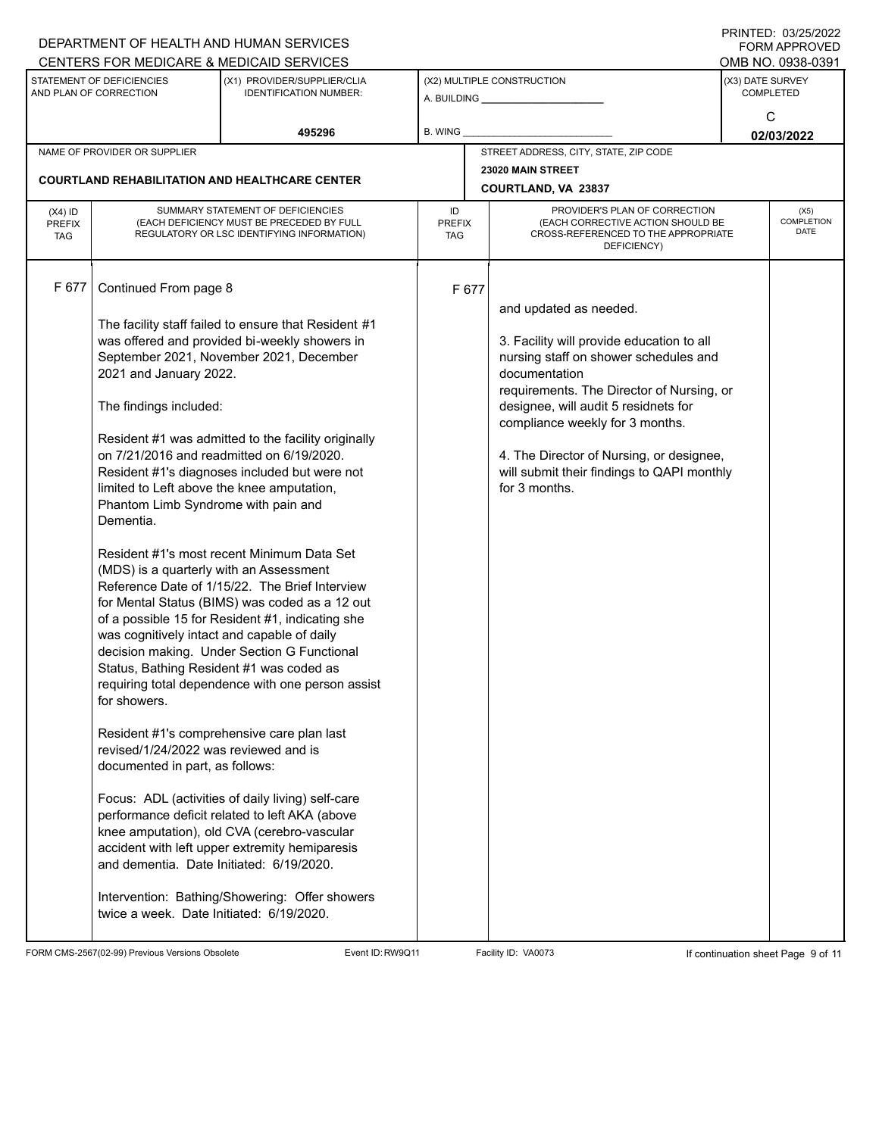|                                          |                                                                                                                                                                                                                                                                                                                                                                                                                                                           | DEPARTMENT OF HEALTH AND HUMAN SERVICES                                                                                                                                                                                                                                                                                                                                                                                                                                                                                                                                                                                                                                                                                                                                                                                                                               |                            |                                       |                                                                                                                                                                                                                                                                                                                                                                  |                                      | $\Box$ \\\\\\L\D.\\\J\\L\J\L\J\L\L\L\L\L\<br><b>FORM APPROVED</b> |  |
|------------------------------------------|-----------------------------------------------------------------------------------------------------------------------------------------------------------------------------------------------------------------------------------------------------------------------------------------------------------------------------------------------------------------------------------------------------------------------------------------------------------|-----------------------------------------------------------------------------------------------------------------------------------------------------------------------------------------------------------------------------------------------------------------------------------------------------------------------------------------------------------------------------------------------------------------------------------------------------------------------------------------------------------------------------------------------------------------------------------------------------------------------------------------------------------------------------------------------------------------------------------------------------------------------------------------------------------------------------------------------------------------------|----------------------------|---------------------------------------|------------------------------------------------------------------------------------------------------------------------------------------------------------------------------------------------------------------------------------------------------------------------------------------------------------------------------------------------------------------|--------------------------------------|-------------------------------------------------------------------|--|
|                                          |                                                                                                                                                                                                                                                                                                                                                                                                                                                           | CENTERS FOR MEDICARE & MEDICAID SERVICES                                                                                                                                                                                                                                                                                                                                                                                                                                                                                                                                                                                                                                                                                                                                                                                                                              |                            |                                       |                                                                                                                                                                                                                                                                                                                                                                  |                                      | OMB NO. 0938-0391                                                 |  |
|                                          | STATEMENT OF DEFICIENCIES<br>AND PLAN OF CORRECTION                                                                                                                                                                                                                                                                                                                                                                                                       | (X1) PROVIDER/SUPPLIER/CLIA<br><b>IDENTIFICATION NUMBER:</b>                                                                                                                                                                                                                                                                                                                                                                                                                                                                                                                                                                                                                                                                                                                                                                                                          | (X2) MULTIPLE CONSTRUCTION |                                       |                                                                                                                                                                                                                                                                                                                                                                  | (X3) DATE SURVEY<br><b>COMPLETED</b> |                                                                   |  |
|                                          |                                                                                                                                                                                                                                                                                                                                                                                                                                                           | 495296                                                                                                                                                                                                                                                                                                                                                                                                                                                                                                                                                                                                                                                                                                                                                                                                                                                                | B. WING                    |                                       |                                                                                                                                                                                                                                                                                                                                                                  |                                      | C<br>02/03/2022                                                   |  |
|                                          | NAME OF PROVIDER OR SUPPLIER                                                                                                                                                                                                                                                                                                                                                                                                                              |                                                                                                                                                                                                                                                                                                                                                                                                                                                                                                                                                                                                                                                                                                                                                                                                                                                                       |                            | STREET ADDRESS, CITY, STATE, ZIP CODE |                                                                                                                                                                                                                                                                                                                                                                  |                                      |                                                                   |  |
|                                          |                                                                                                                                                                                                                                                                                                                                                                                                                                                           | <b>COURTLAND REHABILITATION AND HEALTHCARE CENTER</b>                                                                                                                                                                                                                                                                                                                                                                                                                                                                                                                                                                                                                                                                                                                                                                                                                 |                            |                                       |                                                                                                                                                                                                                                                                                                                                                                  |                                      |                                                                   |  |
|                                          |                                                                                                                                                                                                                                                                                                                                                                                                                                                           |                                                                                                                                                                                                                                                                                                                                                                                                                                                                                                                                                                                                                                                                                                                                                                                                                                                                       |                            |                                       | COURTLAND, VA 23837                                                                                                                                                                                                                                                                                                                                              |                                      |                                                                   |  |
| $(X4)$ ID<br><b>PREFIX</b><br><b>TAG</b> |                                                                                                                                                                                                                                                                                                                                                                                                                                                           | SUMMARY STATEMENT OF DEFICIENCIES<br>(EACH DEFICIENCY MUST BE PRECEDED BY FULL<br>REGULATORY OR LSC IDENTIFYING INFORMATION)                                                                                                                                                                                                                                                                                                                                                                                                                                                                                                                                                                                                                                                                                                                                          | ID<br><b>PREFIX</b><br>TAG |                                       | PROVIDER'S PLAN OF CORRECTION<br>(EACH CORRECTIVE ACTION SHOULD BE<br>CROSS-REFERENCED TO THE APPROPRIATE<br>DEFICIENCY)                                                                                                                                                                                                                                         |                                      | (X5)<br><b>COMPLETION</b><br>DATE                                 |  |
| F 677                                    | Continued From page 8<br>2021 and January 2022.<br>The findings included:<br>limited to Left above the knee amputation,<br>Phantom Limb Syndrome with pain and<br>Dementia.<br>(MDS) is a quarterly with an Assessment<br>was cognitively intact and capable of daily<br>Status, Bathing Resident #1 was coded as<br>for showers.<br>revised/1/24/2022 was reviewed and is<br>documented in part, as follows:<br>and dementia. Date Initiated: 6/19/2020. | The facility staff failed to ensure that Resident #1<br>was offered and provided bi-weekly showers in<br>September 2021, November 2021, December<br>Resident #1 was admitted to the facility originally<br>on 7/21/2016 and readmitted on 6/19/2020.<br>Resident #1's diagnoses included but were not<br>Resident #1's most recent Minimum Data Set<br>Reference Date of 1/15/22. The Brief Interview<br>for Mental Status (BIMS) was coded as a 12 out<br>of a possible 15 for Resident #1, indicating she<br>decision making. Under Section G Functional<br>requiring total dependence with one person assist<br>Resident #1's comprehensive care plan last<br>Focus: ADL (activities of daily living) self-care<br>performance deficit related to left AKA (above<br>knee amputation), old CVA (cerebro-vascular<br>accident with left upper extremity hemiparesis |                            | F 677                                 | and updated as needed.<br>3. Facility will provide education to all<br>nursing staff on shower schedules and<br>documentation<br>requirements. The Director of Nursing, or<br>designee, will audit 5 residnets for<br>compliance weekly for 3 months.<br>4. The Director of Nursing, or designee,<br>will submit their findings to QAPI monthly<br>for 3 months. |                                      |                                                                   |  |
|                                          | twice a week. Date Initiated: 6/19/2020.                                                                                                                                                                                                                                                                                                                                                                                                                  | Intervention: Bathing/Showering: Offer showers                                                                                                                                                                                                                                                                                                                                                                                                                                                                                                                                                                                                                                                                                                                                                                                                                        |                            |                                       |                                                                                                                                                                                                                                                                                                                                                                  |                                      |                                                                   |  |

FORM CMS-2567(02-99) Previous Versions Obsolete Event ID:RW9Q11 Facility ID: VA0073 If continuation sheet Page 9 of 11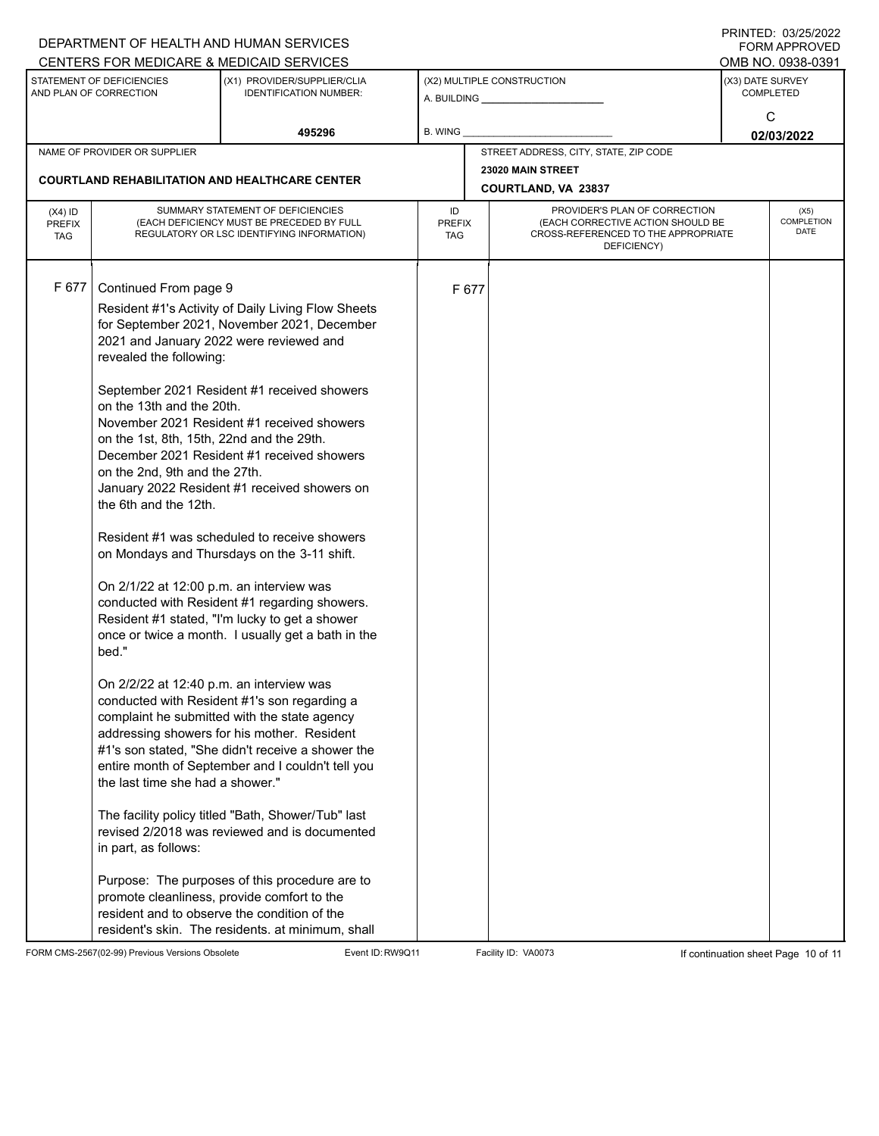|                                          |                                                                                                                                                                                                                                                                                                                                                   | DEPARTMENT OF HEALTH AND HUMAN SERVICES                                                                                                                                                                                                                                                                                                                                                                                                                                                                                                                                                                                                                                                                                                                                                                                                                                                                                                                                                                                                                                                                          |           |                                                                                                                                           |                                       |                                      | I INITILD. 00/LOILULL<br><b>FORM APPROVED</b> |  |
|------------------------------------------|---------------------------------------------------------------------------------------------------------------------------------------------------------------------------------------------------------------------------------------------------------------------------------------------------------------------------------------------------|------------------------------------------------------------------------------------------------------------------------------------------------------------------------------------------------------------------------------------------------------------------------------------------------------------------------------------------------------------------------------------------------------------------------------------------------------------------------------------------------------------------------------------------------------------------------------------------------------------------------------------------------------------------------------------------------------------------------------------------------------------------------------------------------------------------------------------------------------------------------------------------------------------------------------------------------------------------------------------------------------------------------------------------------------------------------------------------------------------------|-----------|-------------------------------------------------------------------------------------------------------------------------------------------|---------------------------------------|--------------------------------------|-----------------------------------------------|--|
|                                          |                                                                                                                                                                                                                                                                                                                                                   | CENTERS FOR MEDICARE & MEDICAID SERVICES                                                                                                                                                                                                                                                                                                                                                                                                                                                                                                                                                                                                                                                                                                                                                                                                                                                                                                                                                                                                                                                                         |           |                                                                                                                                           |                                       |                                      | OMB NO. 0938-0391                             |  |
|                                          | STATEMENT OF DEFICIENCIES<br>AND PLAN OF CORRECTION                                                                                                                                                                                                                                                                                               | (X1) PROVIDER/SUPPLIER/CLIA<br><b>IDENTIFICATION NUMBER:</b>                                                                                                                                                                                                                                                                                                                                                                                                                                                                                                                                                                                                                                                                                                                                                                                                                                                                                                                                                                                                                                                     |           |                                                                                                                                           | (X2) MULTIPLE CONSTRUCTION            | (X3) DATE SURVEY<br><b>COMPLETED</b> |                                               |  |
|                                          |                                                                                                                                                                                                                                                                                                                                                   | 495296                                                                                                                                                                                                                                                                                                                                                                                                                                                                                                                                                                                                                                                                                                                                                                                                                                                                                                                                                                                                                                                                                                           | B. WING   |                                                                                                                                           |                                       | C<br>02/03/2022                      |                                               |  |
|                                          | NAME OF PROVIDER OR SUPPLIER                                                                                                                                                                                                                                                                                                                      |                                                                                                                                                                                                                                                                                                                                                                                                                                                                                                                                                                                                                                                                                                                                                                                                                                                                                                                                                                                                                                                                                                                  |           |                                                                                                                                           | STREET ADDRESS, CITY, STATE, ZIP CODE |                                      |                                               |  |
|                                          |                                                                                                                                                                                                                                                                                                                                                   |                                                                                                                                                                                                                                                                                                                                                                                                                                                                                                                                                                                                                                                                                                                                                                                                                                                                                                                                                                                                                                                                                                                  |           |                                                                                                                                           | 23020 MAIN STREET                     |                                      |                                               |  |
|                                          |                                                                                                                                                                                                                                                                                                                                                   | <b>COURTLAND REHABILITATION AND HEALTHCARE CENTER</b>                                                                                                                                                                                                                                                                                                                                                                                                                                                                                                                                                                                                                                                                                                                                                                                                                                                                                                                                                                                                                                                            |           |                                                                                                                                           | COURTLAND, VA 23837                   |                                      |                                               |  |
| $(X4)$ ID<br><b>PREFIX</b><br><b>TAG</b> | SUMMARY STATEMENT OF DEFICIENCIES<br>(EACH DEFICIENCY MUST BE PRECEDED BY FULL<br>REGULATORY OR LSC IDENTIFYING INFORMATION)                                                                                                                                                                                                                      |                                                                                                                                                                                                                                                                                                                                                                                                                                                                                                                                                                                                                                                                                                                                                                                                                                                                                                                                                                                                                                                                                                                  | ID<br>TAG | PROVIDER'S PLAN OF CORRECTION<br>(EACH CORRECTIVE ACTION SHOULD BE<br><b>PREFIX</b><br>CROSS-REFERENCED TO THE APPROPRIATE<br>DEFICIENCY) |                                       |                                      | (X5)<br>COMPLETION<br><b>DATE</b>             |  |
| F 677                                    | Continued From page 9<br>revealed the following:<br>on the 13th and the 20th.<br>on the 1st, 8th, 15th, 22nd and the 29th.<br>on the 2nd, 9th and the 27th.<br>the 6th and the 12th.<br>On 2/1/22 at 12:00 p.m. an interview was<br>bed."<br>On 2/2/22 at 12:40 p.m. an interview was<br>the last time she had a shower."<br>in part, as follows: | Resident #1's Activity of Daily Living Flow Sheets<br>for September 2021, November 2021, December<br>2021 and January 2022 were reviewed and<br>September 2021 Resident #1 received showers<br>November 2021 Resident #1 received showers<br>December 2021 Resident #1 received showers<br>January 2022 Resident #1 received showers on<br>Resident #1 was scheduled to receive showers<br>on Mondays and Thursdays on the 3-11 shift.<br>conducted with Resident #1 regarding showers.<br>Resident #1 stated, "I'm lucky to get a shower<br>once or twice a month. I usually get a bath in the<br>conducted with Resident #1's son regarding a<br>complaint he submitted with the state agency<br>addressing showers for his mother. Resident<br>#1's son stated, "She didn't receive a shower the<br>entire month of September and I couldn't tell you<br>The facility policy titled "Bath, Shower/Tub" last<br>revised 2/2018 was reviewed and is documented<br>Purpose: The purposes of this procedure are to<br>promote cleanliness, provide comfort to the<br>resident and to observe the condition of the |           | F 677                                                                                                                                     |                                       |                                      |                                               |  |
|                                          |                                                                                                                                                                                                                                                                                                                                                   | resident's skin. The residents. at minimum, shall                                                                                                                                                                                                                                                                                                                                                                                                                                                                                                                                                                                                                                                                                                                                                                                                                                                                                                                                                                                                                                                                |           |                                                                                                                                           |                                       |                                      |                                               |  |

FORM CMS-2567(02-99) Previous Versions Obsolete Event ID:RW9Q11 Facility ID: VA0073 If continuation sheet Page 10 of 11